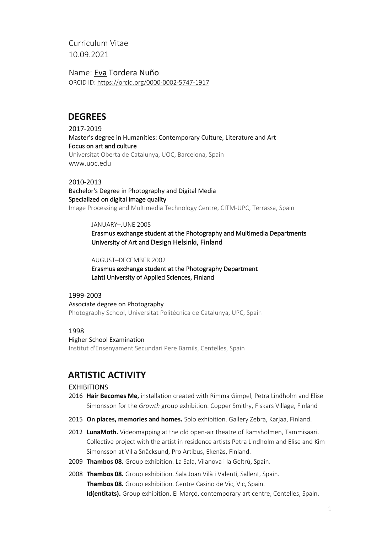Curriculum Vitae 10.09.2021

Name: Eva Tordera Nuño ORCID iD: https://orcid.org/0000-0002-5747-1917

# **DEGREES**

2017-2019 Master's degree in Humanities: Contemporary Culture, Literature and Art Focus on art and culture Universitat Oberta de Catalunya, UOC, Barcelona, Spain www.uoc.edu

## 2010-2013

Bachelor's Degree in Photography and Digital Media Specialized on digital image quality Image Processing and Multimedia Technology Centre, CITM-UPC, Terrassa, Spain

### JANUARY–JUNE 2005

Erasmus exchange student at the Photography and Multimedia Departments University of Art and Design Helsinki, Finland

AUGUST–DECEMBER 2002

Erasmus exchange student at the Photography Department Lahti University of Applied Sciences, Finland

## 1999-2003

Associate degree on Photography Photography School, Universitat Politècnica de Catalunya, UPC, Spain

## 1998

### Higher School Examination

Institut d'Ensenyament Secundari Pere Barnils, Centelles, Spain

# **ARTISTIC ACTIVITY**

## EXHIBITIONS

- 2016 **Hair Becomes Me,** installation created with Rimma Gimpel, Petra Lindholm and Elise Simonsson for the *Growth* group exhibition. Copper Smithy, Fiskars Village, Finland
- 2015 **On places, memories and homes.** Solo exhibition. Gallery Zebra, Karjaa, Finland.
- 2012 **LunaMoth.** Videomapping at the old open-air theatre of Ramsholmen, Tammisaari. Collective project with the artist in residence artists Petra Lindholm and Elise and Kim Simonsson at Villa Snäcksund, Pro Artibus, Ekenäs, Finland.
- 2009 **Thambos 08.** Group exhibition. La Sala, Vilanova i la Geltrú, Spain.
- 2008 **Thambos 08.** Group exhibition. Sala Joan Vilà i Valentí, Sallent, Spain. **Thambos 08.** Group exhibition. Centre Casino de Vic, Vic, Spain. **Id(entitats).** Group exhibition. El Marçó, contemporary art centre, Centelles, Spain.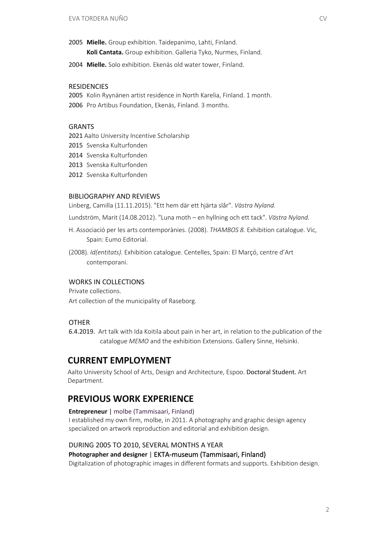- 2005 **Mielle.** Group exhibition. Taidepanimo, Lahti, Finland. **Koli Cantata.** Group exhibition. Galleria Tyko, Nurmes, Finland.
- 2004 **Mielle.** Solo exhibition. Ekenäs old water tower, Finland.

#### **RESIDENCIES**

- 2005 Kolin Ryynänen artist residence in North Karelia, Finland. 1 month.
- 2006 Pro Artibus Foundation, Ekenäs, Finland. 3 months.

#### GRANTS

- 2021 Aalto University Incentive Scholarship
- 2015 Svenska Kulturfonden
- 2014 Svenska Kulturfonden
- 2013 Svenska Kulturfonden
- 2012 Svenska Kulturfonden

#### BIBLIOGRAPHY AND REVIEWS

Linberg, Camilla (11.11.2015). "Ett hem där ett hjärta slår". *Västra Nyland.*

Lundström, Marit (14.08.2012). "Luna moth – en hyllning och ett tack". *Västra Nyland.*

- H. Associació per les arts contemporànies. (2008). *THAMBOS 8.* Exhibition catalogue. Vic, Spain: Eumo Editorial.
- (2008). *Id(entitats).* Exhibition catalogue. Centelles, Spain: El Marçó, centre d'Art contemporani.

### WORKS IN COLLECTIONS

Private collections. Art collection of the municipality of Raseborg.

## OTHER

6.4.2019. Art talk with Ida Koitila about pain in her art, in relation to the publication of the catalogue *MEMO* and the exhibition Extensions. Gallery Sinne, Helsinki.

# **CURRENT EMPLOYMENT**

Aalto University School of Arts, Design and Architecture, Espoo. Doctoral Student. Art Department.

# **PREVIOUS WORK EXPERIENCE**

#### **Entrepreneur** | molbe (Tammisaari, Finland)

I established my own firm, molbe, in 2011. A photography and graphic design agency specialized on artwork reproduction and editorial and exhibition design.

#### DURING 2005 TO 2010, SEVERAL MONTHS A YEAR

## **Photographer and designer** | EKTA-museum (Tammisaari, Finland)

Digitalization of photographic images in different formats and supports. Exhibition design.